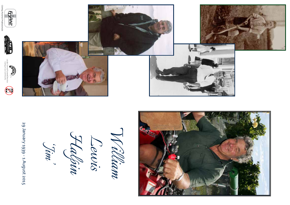

29 January 1939 - 1 August 2015 29 January 1939 - 1 August 2015*Halpin Lewis 'Jim'*

*William*